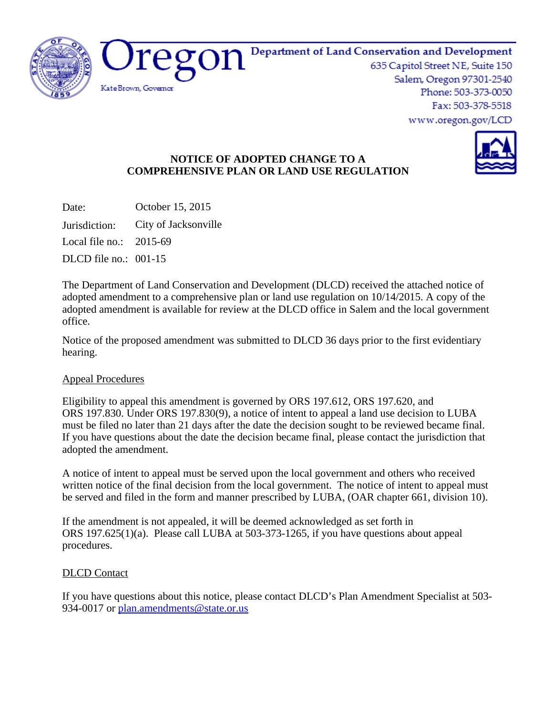

#### Department of Land Conservation and Development

635 Capitol Street NE, Suite 150 Salem, Oregon 97301-2540 Phone: 503-373-0050 Fax: 503-378-5518 www.oregon.gov/LCD



## **NOTICE OF ADOPTED CHANGE TO A COMPREHENSIVE PLAN OR LAND USE REGULATION**

Date: October 15, 2015

Jurisdiction: City of Jacksonville

Local file no.: 2015-69

DLCD file no.: 001-15

The Department of Land Conservation and Development (DLCD) received the attached notice of adopted amendment to a comprehensive plan or land use regulation on 10/14/2015. A copy of the adopted amendment is available for review at the DLCD office in Salem and the local government office.

Notice of the proposed amendment was submitted to DLCD 36 days prior to the first evidentiary hearing.

## Appeal Procedures

Eligibility to appeal this amendment is governed by ORS 197.612, ORS 197.620, and ORS 197.830. Under ORS 197.830(9), a notice of intent to appeal a land use decision to LUBA must be filed no later than 21 days after the date the decision sought to be reviewed became final. If you have questions about the date the decision became final, please contact the jurisdiction that adopted the amendment.

A notice of intent to appeal must be served upon the local government and others who received written notice of the final decision from the local government. The notice of intent to appeal must be served and filed in the form and manner prescribed by LUBA, (OAR chapter 661, division 10).

If the amendment is not appealed, it will be deemed acknowledged as set forth in ORS 197.625(1)(a). Please call LUBA at 503-373-1265, if you have questions about appeal procedures.

## DLCD Contact

If you have questions about this notice, please contact DLCD's Plan Amendment Specialist at 503 934-0017 or [plan.amendments@state.or.us](mailto:plan.amendments@state.or.us)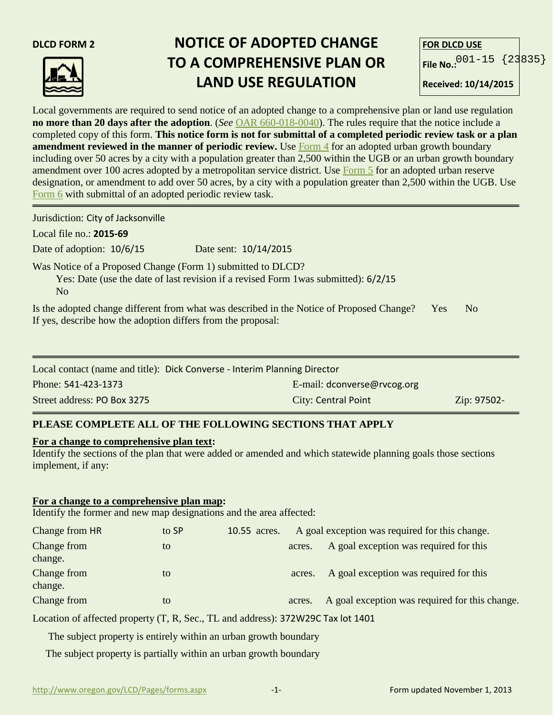

# **DLCD FORM 2 NOTICE OF ADOPTED CHANGE TO A COMPREHENSIVE PLAN OR LAND USE REGULATION**

| <b>FOR DLCD USE</b>        |  |
|----------------------------|--|
| File No.: $001-15$ {23835} |  |
| $R$ aceived: 10/14/2015    |  |

Local governments are required to send notice of an adopted change to a comprehensive plan or land use regulation **no more than 20 days after the adoption**. (*See* [OAR 660-018-0040\)](http://arcweb.sos.state.or.us/pages/rules/oars_600/oar_660/660_018.html). The rules require that the notice include a completed copy of this form. **This notice form is not for submittal of a completed periodic review task or a plan amendment reviewed in the manner of periodic review.** Use [Form 4](http://www.oregon.gov/LCD/Pages/forms.aspx) for an adopted urban growth boundary including over 50 acres by a city with a population greater than 2,500 within the UGB or an urban growth boundary amendment over 100 acres adopted by a metropolitan service district. Use [Form 5](http://www.oregon.gov/LCD/Pages/forms.aspx) for an adopted urban reserve designation, or amendment to add over 50 acres, by a city with a population greater than 2,500 within the UGB. Use [Form 6](http://www.oregon.gov/LCD/Pages/forms.aspx) with submittal of an adopted periodic review task.

Jurisdiction: City of Jacksonville

Local file no.: **2015-69**

Date of adoption: 10/6/15 Date sent: 10/14/2015

Was Notice of a Proposed Change (Form 1) submitted to DLCD?

 Yes: Date (use the date of last revision if a revised Form 1was submitted): 6/2/15 No

| Is the adopted change different from what was described in the Notice of Proposed Change? Yes | N <sub>0</sub> |
|-----------------------------------------------------------------------------------------------|----------------|
| If yes, describe how the adoption differs from the proposal:                                  |                |

| Local contact (name and title): Dick Converse - Interim Planning Director |                             |             |  |
|---------------------------------------------------------------------------|-----------------------------|-------------|--|
| Phone: 541-423-1373                                                       | E-mail: dconverse@rvcog.org |             |  |
| Street address: PO Box 3275                                               | <b>City: Central Point</b>  | Zip: 97502- |  |

## **PLEASE COMPLETE ALL OF THE FOLLOWING SECTIONS THAT APPLY**

#### **For a change to comprehensive plan text:**

Identify the sections of the plan that were added or amended and which statewide planning goals those sections implement, if any:

#### **For a change to a comprehensive plan map:**

Identify the former and new map designations and the area affected:

| Change from HR         | to SP | 10.55 acres. |        | A goal exception was required for this change. |
|------------------------|-------|--------------|--------|------------------------------------------------|
| Change from<br>change. | to    |              | acres. | A goal exception was required for this         |
| Change from<br>change. | to    |              | acres. | A goal exception was required for this         |
| Change from            | to    |              | acres. | A goal exception was required for this change. |

Location of affected property (T, R, Sec., TL and address): 372W29C Tax lot 1401

The subject property is entirely within an urban growth boundary

The subject property is partially within an urban growth boundary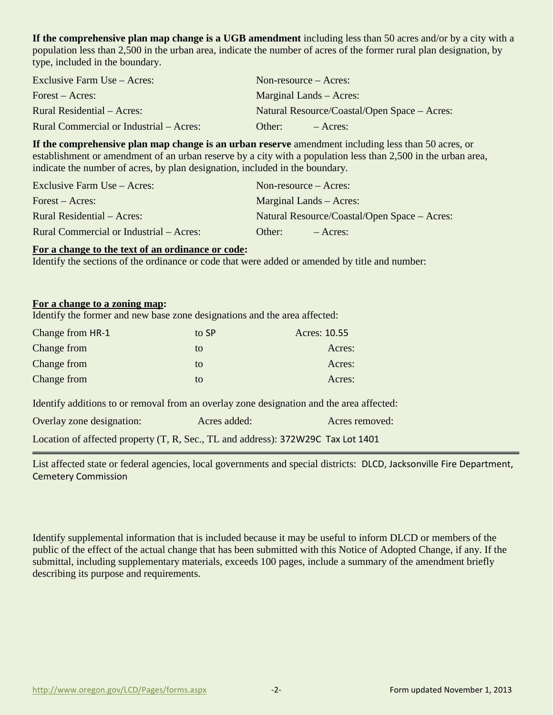**If the comprehensive plan map change is a UGB amendment** including less than 50 acres and/or by a city with a population less than 2,500 in the urban area, indicate the number of acres of the former rural plan designation, by type, included in the boundary.

| Exclusive Farm Use – Acres:             | Non-resource $-$ Acres:                      |  |
|-----------------------------------------|----------------------------------------------|--|
| Forest – Acres:                         | Marginal Lands – Acres:                      |  |
| Rural Residential – Acres:              | Natural Resource/Coastal/Open Space – Acres: |  |
| Rural Commercial or Industrial – Acres: | Other:<br>$-$ Acres:                         |  |

**If the comprehensive plan map change is an urban reserve** amendment including less than 50 acres, or establishment or amendment of an urban reserve by a city with a population less than 2,500 in the urban area, indicate the number of acres, by plan designation, included in the boundary.

| Exclusive Farm Use – Acres:             | Non-resource $-$ Acres:                      |  |  |
|-----------------------------------------|----------------------------------------------|--|--|
| Forest – Acres:                         | Marginal Lands – Acres:                      |  |  |
| Rural Residential – Acres:              | Natural Resource/Coastal/Open Space – Acres: |  |  |
| Rural Commercial or Industrial – Acres: | Other:<br>$-$ Acres:                         |  |  |

#### **For a change to the text of an ordinance or code:**

Identify the sections of the ordinance or code that were added or amended by title and number:

#### **For a change to a zoning map:**

Identify the former and new base zone designations and the area affected:

| Change from HR-1                                                                         | to SP        | Acres: 10.55   |  |  |  |
|------------------------------------------------------------------------------------------|--------------|----------------|--|--|--|
| Change from                                                                              | to           | Acres:         |  |  |  |
| Change from                                                                              | to           | Acres:         |  |  |  |
| Change from                                                                              | to           | Acres:         |  |  |  |
| Identify additions to or removal from an overlay zone designation and the area affected: |              |                |  |  |  |
| Overlay zone designation:                                                                | Acres added: | Acres removed: |  |  |  |
| Location of affected property (T, R, Sec., TL and address): 372W29C Tax Lot 1401         |              |                |  |  |  |

List affected state or federal agencies, local governments and special districts: DLCD, Jacksonville Fire Department, Cemetery Commission

Identify supplemental information that is included because it may be useful to inform DLCD or members of the public of the effect of the actual change that has been submitted with this Notice of Adopted Change, if any. If the submittal, including supplementary materials, exceeds 100 pages, include a summary of the amendment briefly describing its purpose and requirements.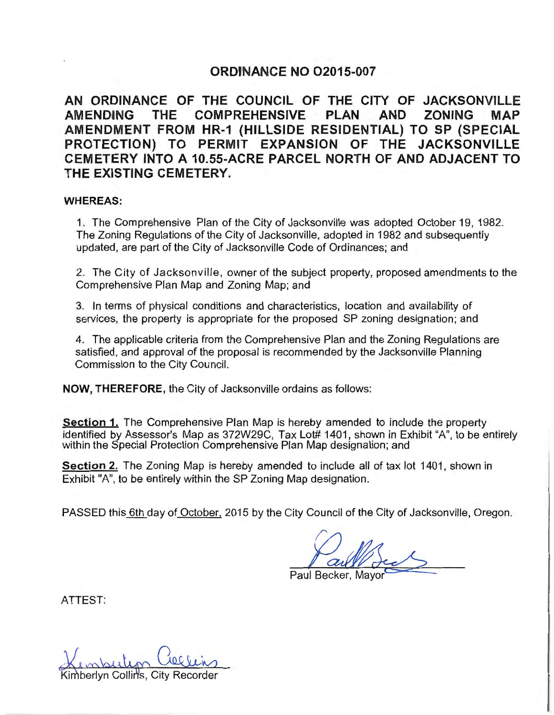# **ORDINANCE NO 02015-007**

**AN ORDINANCE OF THE COUNCIL OF THE CITY OF JACKSONVILLE AMENDING THE COMPREHENSIVE PLAN AND ZONING MAP AMENDMENT FROM HR-1 (HILLSIDE RESIDENTIAL) TO SP (SPECIAL PROTECTION) TO PERMIT EXPANSION OF THE JACKSONVILLE CEMETERY INTO A 10.55-ACRE PARCEL NORTH OF AND ADJACENT TO THE EXISTING CEMETERY.** 

#### **WHEREAS:**

1. The Comprehensive Plan of the City of Jacksonville was adopted October 19, 1982. The Zoning Regulations of the City of Jacksonville, adopted in 1982 and subsequently updated, are part of the City of Jacksonville Code of Ordinances; and

2. The City of Jacksonville, owner of the subject property, proposed amendments to the Comprehensive Plan Map and Zoning Map; and

3. In terms of physical conditions and characteristics, location and availability of services, the property is appropriate for the proposed SP zoning designation; and

4. The applicable criteria from the Comprehensive Plan and the Zoning Regulations are satisfied, and approval of the proposal is recommended by the Jacksonville Planning Commission to the City Council.

**NOW, THEREFORE,** the City of Jacksonville ordains as follows:

**Section 1.** The Comprehensive Plan Map is hereby amended to include the property identified by Assessor's Map as 372W29C, Tax Lot# 1401, shown in Exhibit "A", to be entirely within the Special Protection Comprehensive Plan Map designation; and

**Section 2.** The Zoning Map is hereby amended to include all of tax lot 1401, shown in Exhibit "A", to be entirely within the SP Zoning Map designation.

PASSED this 6th day of October. 2015 by the City Council of the City of Jacksonville, Oregon.

*g}\_J,*  Paul Beck-

ATTEST:

berlyn Collin's, City Red